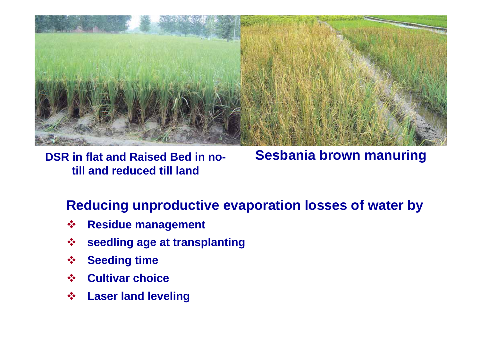

**DSR in flat and Raised Bed in notill and reduced till land**

# **Sesbania brown manuring**

#### **Reducing unproductive evaporation losses of water by**

- $\frac{1}{2}$ **Residue management**
- $\frac{1}{2}$ **seedling age at transplanting**
- $\frac{1}{2}$ **Seeding time**
- $\frac{1}{2}$ **Cultivar choice**
- $\frac{1}{2}$ **Laser land leveling**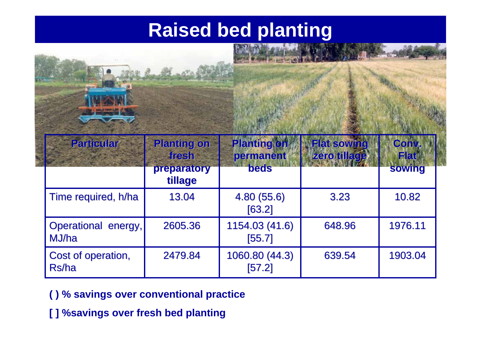## **Raised bed planting**

|                              |                                                       |                                                | Printed March 14 Hours      |                                       |  |  |
|------------------------------|-------------------------------------------------------|------------------------------------------------|-----------------------------|---------------------------------------|--|--|
| <b>Particular</b>            | <b>Planting on</b><br>fresh<br>preparatory<br>tillage | <b>Planting on</b><br>permanent<br><b>beds</b> | Flat sowing<br>zero tillage | Conv.<br><b>Flat</b><br><b>sowing</b> |  |  |
| Time required, h/ha          | 13.04                                                 | 4.80(55.6)<br>[63.2]                           | 3.23                        | 10.82                                 |  |  |
| Operational energy,<br>MJ/ha | 2605.36                                               | 1154.03 (41.6)<br>[55.7]                       | 648.96                      | 1976.11                               |  |  |
| Cost of operation,<br>Rs/ha  | 2479.84                                               | 1060.80 (44.3)<br>[57.2]                       | 639.54                      | 1903.04                               |  |  |

- **( ) % savings over conventional practice**
- **[ ] %savings over fresh bed planting**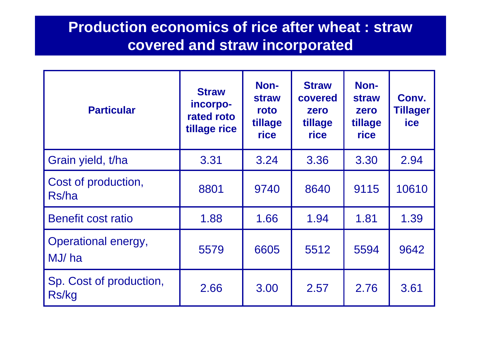#### **Production economics of rice after wheat : straw covered and straw incorporated**

| <b>Particular</b>                   | <b>Straw</b><br>incorpo-<br>rated roto<br>tillage rice | Non-<br><b>straw</b><br>roto<br>tillage<br>rice | <b>Straw</b><br>covered<br>zero<br>tillage<br>rice | Non-<br><b>straw</b><br>zero<br>tillage<br>rice | Conv.<br><b>Tillager</b><br><b>ice</b> |
|-------------------------------------|--------------------------------------------------------|-------------------------------------------------|----------------------------------------------------|-------------------------------------------------|----------------------------------------|
| Grain yield, t/ha                   | 3.31                                                   | 3.24                                            | 3.36                                               | 3.30                                            | 2.94                                   |
| Cost of production,<br>Rs/ha        | 8801                                                   | 9740                                            | 8640                                               | 9115                                            | 10610                                  |
| Benefit cost ratio                  | 1.88                                                   | 1.66                                            | 1.94                                               | 1.81                                            | 1.39                                   |
| <b>Operational energy,</b><br>MJ/ha | 5579                                                   | 6605                                            | 5512                                               | 5594                                            | 9642                                   |
| Sp. Cost of production,<br>Rs/kg    | 2.66                                                   | 3.00                                            | 2.57                                               | 2.76                                            | 3.61                                   |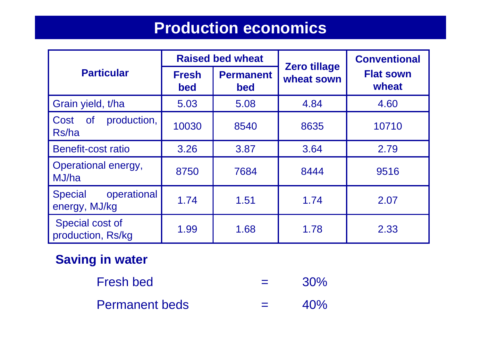### **Production economics**

|                                                | <b>Raised bed wheat</b> |                                |                                   | <b>Conventional</b>       |  |
|------------------------------------------------|-------------------------|--------------------------------|-----------------------------------|---------------------------|--|
| <b>Particular</b>                              | <b>Fresh</b><br>bed     | <b>Permanent</b><br><b>bed</b> | <b>Zero tillage</b><br>wheat sown | <b>Flat sown</b><br>wheat |  |
| Grain yield, t/ha                              | 5.03                    | 5.08                           | 4.84                              | 4.60                      |  |
| production,<br><b>of</b><br>Cost<br>Rs/ha      | 10030                   | 8540                           | 8635                              | 10710                     |  |
| <b>Benefit-cost ratio</b>                      | 3.26                    | 3.87                           | 3.64                              | 2.79                      |  |
| Operational energy,<br>MJ/ha                   | 8750                    | 7684                           | 8444                              | 9516                      |  |
| operational<br><b>Special</b><br>energy, MJ/kg | 1.74                    | 1.51                           | 1.74                              | 2.07                      |  |
| Special cost of<br>production, Rs/kg           | 1.99                    | 1.68                           | 1.78                              | 2.33                      |  |

#### **Saving in water**

Fresh bed  $=$  $=$  30% Permanent beds =40%